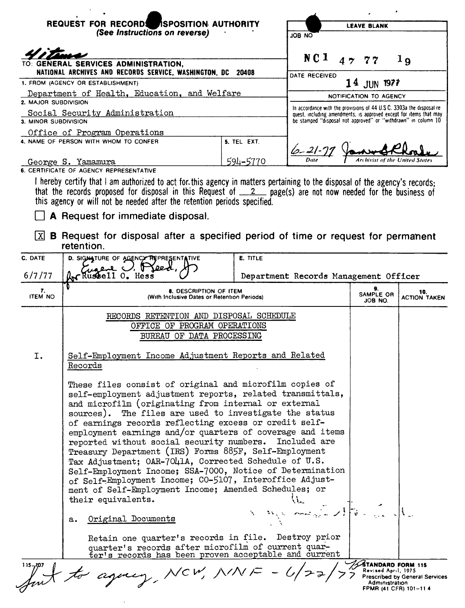|                                                                        | REQUEST FOR RECORDS ASPOSITION AUTHORITY<br>(See Instructions on reverse)                                                                                                                                                                                                                                                                                                                                 |             | <b>LEAVE BLANK</b><br>OA BOL                                                                                                                |        |                            |  |
|------------------------------------------------------------------------|-----------------------------------------------------------------------------------------------------------------------------------------------------------------------------------------------------------------------------------------------------------------------------------------------------------------------------------------------------------------------------------------------------------|-------------|---------------------------------------------------------------------------------------------------------------------------------------------|--------|----------------------------|--|
|                                                                        |                                                                                                                                                                                                                                                                                                                                                                                                           |             |                                                                                                                                             |        |                            |  |
|                                                                        |                                                                                                                                                                                                                                                                                                                                                                                                           |             |                                                                                                                                             |        |                            |  |
| GENERAL SERVICES ADMINISTRATION,                                       |                                                                                                                                                                                                                                                                                                                                                                                                           |             | NC 1                                                                                                                                        | 47, 77 | 1 <sub>9</sub>             |  |
| NATIONAL ARCHIVES AND RECORDS SERVICE, WASHINGTON, DC<br>20408         |                                                                                                                                                                                                                                                                                                                                                                                                           |             | DATE RECEIVED                                                                                                                               |        |                            |  |
| 1. FROM (AGENCY OR ESTABLISHMENT)                                      |                                                                                                                                                                                                                                                                                                                                                                                                           |             | 14 JUN 1977                                                                                                                                 |        |                            |  |
| Department of Health, Education, and Welfare<br>2. MAJOR SUBDIVISION   |                                                                                                                                                                                                                                                                                                                                                                                                           |             | NOTIFICATION TO AGENCY                                                                                                                      |        |                            |  |
| Social Security Administration                                         |                                                                                                                                                                                                                                                                                                                                                                                                           |             | In accordance with the provisions of 44 U.S.C. 3303a the disposal re-<br>quest, including amendments, is approved except for items that may |        |                            |  |
| 3. MINOR SUBDIVISION                                                   |                                                                                                                                                                                                                                                                                                                                                                                                           |             | be stamped "disposal not approved" or "withdrawn" in column 10                                                                              |        |                            |  |
|                                                                        | Office of Program Operations<br>4. NAME OF PERSON WITH WHOM TO CONFER                                                                                                                                                                                                                                                                                                                                     | 5. TEL EXT. |                                                                                                                                             |        |                            |  |
|                                                                        |                                                                                                                                                                                                                                                                                                                                                                                                           |             | $6 - 21 - 7$                                                                                                                                |        |                            |  |
|                                                                        | George S. Yamamura                                                                                                                                                                                                                                                                                                                                                                                        | 594-5770    |                                                                                                                                             |        |                            |  |
| x <br>C. DATE<br>6/7/77                                                | A Request for immediate disposal.<br><b>B</b> Request for disposal after a specified period of time or request for permanent<br>retention.<br>D. SIGNATURE OF AGENCY REPRESENTATIVE<br>Br Russell 0. Hes                                                                                                                                                                                                  | E. TITLE    | Department Records Management Officer                                                                                                       |        |                            |  |
| 7.<br><b>ITEM NO</b>                                                   | 8. DESCRIPTION OF ITEM<br>(With Inclusive Dates or Retention Periods)                                                                                                                                                                                                                                                                                                                                     |             |                                                                                                                                             |        | 10.<br><b>ACTION TAKEN</b> |  |
|                                                                        | JOB NO.<br>RECORDS RETENTION AND DISPOSAL SCHEDULE<br>OFFICE OF PROGRAM OPERATIONS<br>BUREAU OF DATA PROCESSING                                                                                                                                                                                                                                                                                           |             |                                                                                                                                             |        |                            |  |
| Self-Employment Income Adjustment Reports and Related<br>I.<br>Records |                                                                                                                                                                                                                                                                                                                                                                                                           |             |                                                                                                                                             |        |                            |  |
|                                                                        | These files consist of original and microfilm copies of<br>self-employment adjustment reports, related transmittals,<br>and microfilm (originating from internal or external<br>sources). The files are used to investigate the status<br>of earnings records reflecting excess or credit self-<br>employment earnings and/or quarters of coverage and items<br>reported without social security numbers. |             | Included are                                                                                                                                |        |                            |  |

Treasury Department (IRS) Forms 885F, Self-Employment Tax Adjustment; OAR-7041A, Corrected Schedule of U.S. Self-Employment Income; SSA-7000, Notice of Determination of Self-Employment Income; CO-5107, Interoffice Adjustment of Self-Employment Income; Amended Schedules; or their equivalents. F.,  $\mathcal{N}$ Original Documents  $a_{\bullet}$ Retain one quarter's records in file. Destroy prior quarter's records after microfilm of current quar-<br>ter's records has been proven acceptable and current STANDARD FORM 115 agency NCW, NINE  $\int_{-\infty}^{\infty}$  for  $\overline{\phantom{a}}$ **Prescribed by General Services**<br>Administration FPMR (41 CFR) 101-114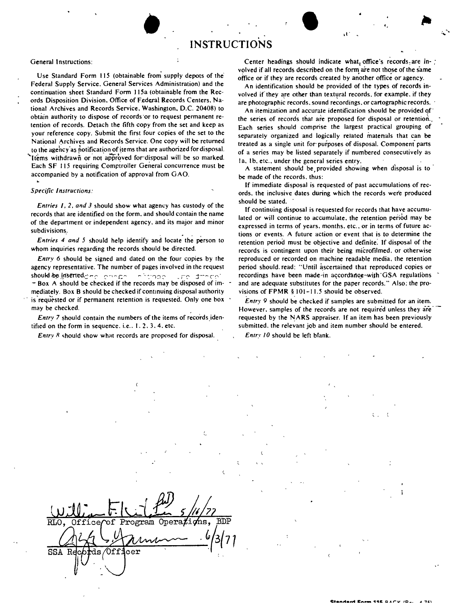## General Instructions:

Use Standard Form 115 (obtainable from supply depots of the' Federal Supply Service. General Services Administration) and the continuation sheet Standard Form 115a (obtainable from the Records Disposition Division. Office of Federal Records Centers. National Archives and Records Service. Washington. D.C. 20408) to obtain authority to dispose of records 'or to request permanent retention of records. Detach the fifth copy from the set and keep as your' reference copy. Submit the first four copies of the set to the National Archives and Records Service. One copy will be returned to the agency as notification of items that are authorized for disposal. Items withdrawn or not approved for disposal will be so marked. Each SF 115 requiring Comptroller General concurrence must be accompanied by a notification of approval from GAO.

## *Specific Instructions:*

*Entries I,* 2, *and* 3 should show what agency has custody of the records that are identified on the form. and should contain the name of the department or independent agency. and its major and minor subdivisions.

*Entries* 4 *and* 5 should help identify and locate the person to whom inquiries regarding the records should be directed.

*Entry* 6 should be signed and dated on the four copies by the agency representative. The number of pages involved in the request should-be I.ff~erted.::.' ~C' C' -, <sup>~</sup> r::~ *.:>,* ~''/:-J::' \_*r'C'* j--~ *c~"*  $-$  Box A should be checked if the records may be disposed of immediately. Box B should be checked if continuing disposal authority is requested or if permanent retention is requested. Only one box may be checked.

*Entry* 7 should contain the numbers of the items of records identified on the form in sequence, i.e.,  $1, 2, 3, 4$ , etc.

*Entry R* should show what records are proposed for disposal.

Center headings should indicate what, office's records are involved if all records described on the form are not those of the same  $of$   $\frac{1}{2}$  of  $\frac{1}{2}$  of  $\frac{1}{2}$  or  $\frac{1}{2}$  if they are records created by another office or agency.

, "

An identification should be provided of the types of records involved if they are other than textural records, for example, if they are photographic records. sound recordings, or cartographic records ..

An itemization and accurate identification should be provided of the series of records that are proposed for disposal or retention. Each series should comprise the largest practical grouping of separately organized and logically related matenals that can be treated as a single unit for' purposes of disposal. Component parts of a series may be listed separately if numbered consecutively as Ia. Ib. etc., under the general series entry.

A statement should be, provided showing when disposal is to . be made of the records. thus:

If immediate disposal is requested of past accumulations of records. the inclusive dates during which the records were produced should be stated.

If continuing disposal is requested for records that have accumulated or will continue to accumulate. the retention period may be expressed in terms of years. months. etc., or in terms of future actions or events. A future action or event that is to determine the retention period must be objective and definite: If disposal of the records is contingent upon their being microfilmed. or otherwise reproduced or recorded on machine readable media. the retention period should. read: "Until ascertained that reproduced copies or recordings have been made-in accordance-with GSA regulations and are adequate substitutes for the paper records." Also: the provisions of FPMR § 101-11.5 should be observed.

*Entry* 9 should be checked if samples are submitted for an item. However. samples of the records are not required unless they are requested by the NARS appraiser. If an item has been previously submitted. the relevant job and item number should be entered.

*Entry 10* should be left blank.

| $\cup$ 10<br>72                                                             |   |
|-----------------------------------------------------------------------------|---|
| $0pera$ <i>Xi</i><br>$\overline{\text{RLO}}$<br>of Program<br><b>Office</b> | Ρ |
|                                                                             |   |
| $_{\tt fdecr}$<br>SSA<br>R                                                  |   |
|                                                                             |   |